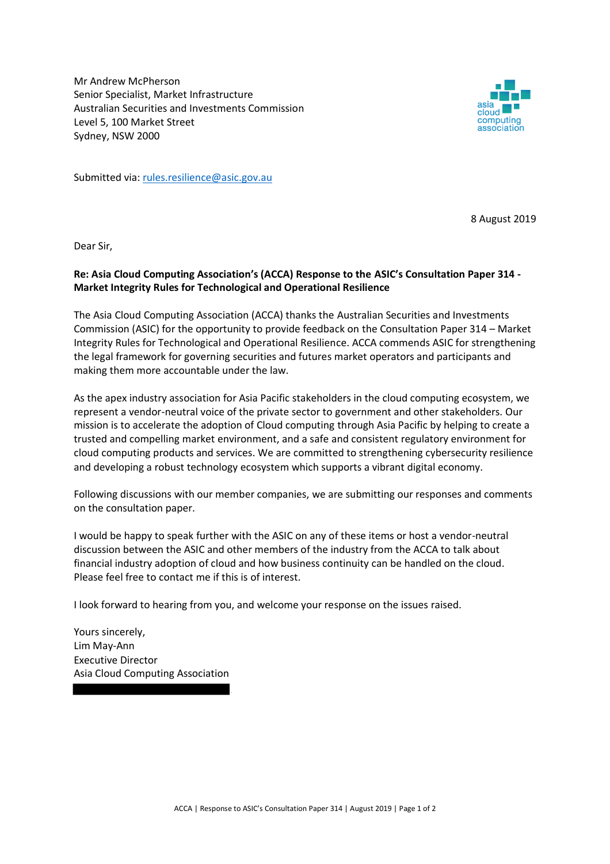Mr Andrew McPherson Senior Specialist, Market Infrastructure Australian Securities and Investments Commission Level 5, 100 Market Street Sydney, NSW 2000



Submitted via: rules.resilience@asic.gov.au

8 August 2019

Dear Sir,

## **Re: Asia Cloud Computing Association's (ACCA) Response to the ASIC's Consultation Paper 314 - Market Integrity Rules for Technological and Operational Resilience**

The Asia Cloud Computing Association (ACCA) thanks the Australian Securities and Investments Commission (ASIC) for the opportunity to provide feedback on the Consultation Paper 314 – Market Integrity Rules for Technological and Operational Resilience. ACCA commends ASIC for strengthening the legal framework for governing securities and futures market operators and participants and making them more accountable under the law.

As the apex industry association for Asia Pacific stakeholders in the cloud computing ecosystem, we represent a vendor-neutral voice of the private sector to government and other stakeholders. Our mission is to accelerate the adoption of Cloud computing through Asia Pacific by helping to create a trusted and compelling market environment, and a safe and consistent regulatory environment for cloud computing products and services. We are committed to strengthening cybersecurity resilience and developing a robust technology ecosystem which supports a vibrant digital economy.

Following discussions with our member companies, we are submitting our responses and comments on the consultation paper.

I would be happy to speak further with the ASIC on any of these items or host a vendor-neutral discussion between the ASIC and other members of the industry from the ACCA to talk about financial industry adoption of cloud and how business continuity can be handled on the cloud. Please feel free to contact me if this is of interest.

I look forward to hearing from you, and welcome your response on the issues raised.

Yours sincerely, Lim May-Ann Executive Director Asia Cloud Computing Association